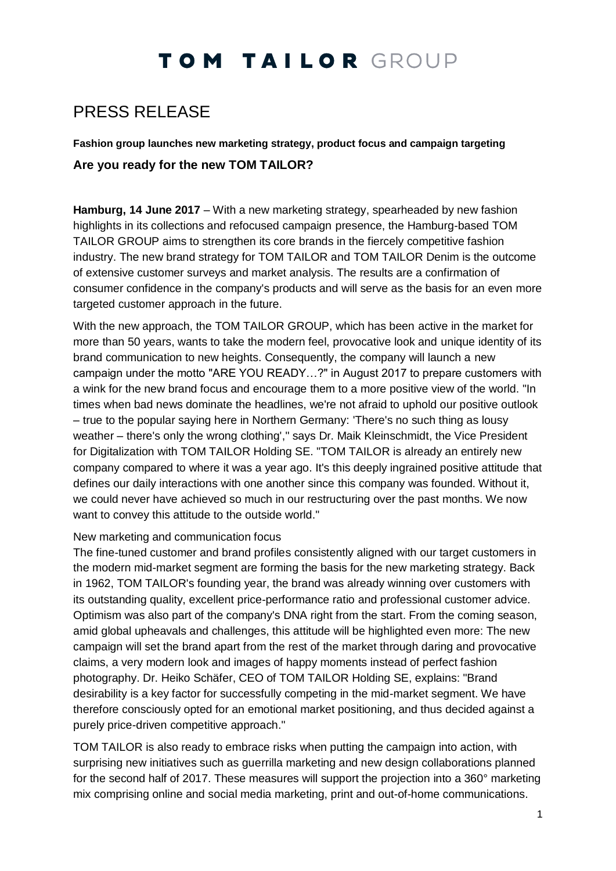## TOM TAILOR GROUP

### PRESS RELEASE

**Fashion group launches new marketing strategy, product focus and campaign targeting Are you ready for the new TOM TAILOR?**

**Hamburg, 14 June 2017** – With a new marketing strategy, spearheaded by new fashion highlights in its collections and refocused campaign presence, the Hamburg-based TOM TAILOR GROUP aims to strengthen its core brands in the fiercely competitive fashion industry. The new brand strategy for TOM TAILOR and TOM TAILOR Denim is the outcome of extensive customer surveys and market analysis. The results are a confirmation of consumer confidence in the company's products and will serve as the basis for an even more targeted customer approach in the future.

With the new approach, the TOM TAILOR GROUP, which has been active in the market for more than 50 years, wants to take the modern feel, provocative look and unique identity of its brand communication to new heights. Consequently, the company will launch a new campaign under the motto "ARE YOU READY…?" in August 2017 to prepare customers with a wink for the new brand focus and encourage them to a more positive view of the world. "In times when bad news dominate the headlines, we're not afraid to uphold our positive outlook – true to the popular saying here in Northern Germany: 'There's no such thing as lousy weather – there's only the wrong clothing'," says Dr. Maik Kleinschmidt, the Vice President for Digitalization with TOM TAILOR Holding SE. "TOM TAILOR is already an entirely new company compared to where it was a year ago. It's this deeply ingrained positive attitude that defines our daily interactions with one another since this company was founded. Without it, we could never have achieved so much in our restructuring over the past months. We now want to convey this attitude to the outside world."

### New marketing and communication focus

The fine-tuned customer and brand profiles consistently aligned with our target customers in the modern mid-market segment are forming the basis for the new marketing strategy. Back in 1962, TOM TAILOR's founding year, the brand was already winning over customers with its outstanding quality, excellent price-performance ratio and professional customer advice. Optimism was also part of the company's DNA right from the start. From the coming season, amid global upheavals and challenges, this attitude will be highlighted even more: The new campaign will set the brand apart from the rest of the market through daring and provocative claims, a very modern look and images of happy moments instead of perfect fashion photography. Dr. Heiko Schäfer, CEO of TOM TAILOR Holding SE, explains: "Brand desirability is a key factor for successfully competing in the mid-market segment. We have therefore consciously opted for an emotional market positioning, and thus decided against a purely price-driven competitive approach."

TOM TAILOR is also ready to embrace risks when putting the campaign into action, with surprising new initiatives such as guerrilla marketing and new design collaborations planned for the second half of 2017. These measures will support the projection into a 360° marketing mix comprising online and social media marketing, print and out-of-home communications.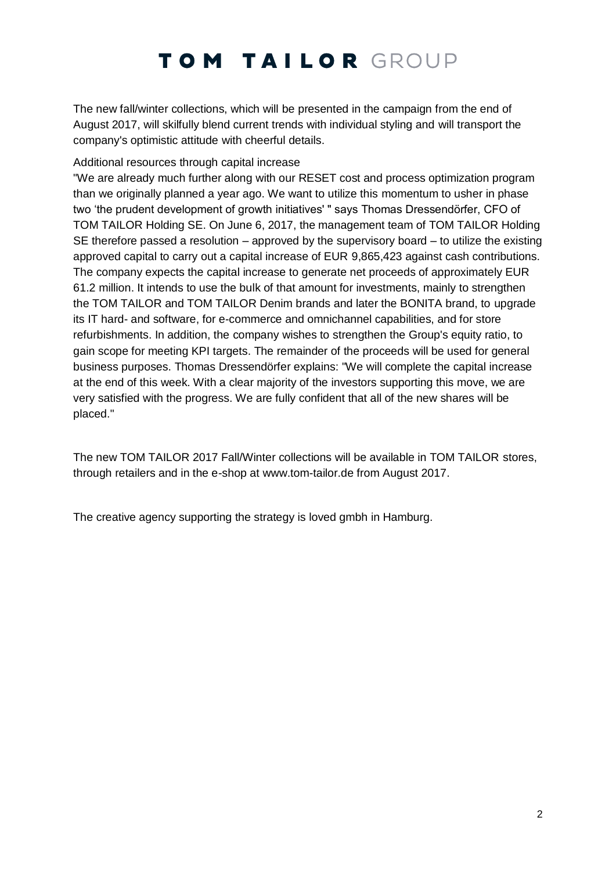# TOM TAILOR GROUP

The new fall/winter collections, which will be presented in the campaign from the end of August 2017, will skilfully blend current trends with individual styling and will transport the company's optimistic attitude with cheerful details.

### Additional resources through capital increase

"We are already much further along with our RESET cost and process optimization program than we originally planned a year ago. We want to utilize this momentum to usher in phase two 'the prudent development of growth initiatives' " says Thomas Dressendörfer, CFO of TOM TAILOR Holding SE. On June 6, 2017, the management team of TOM TAILOR Holding SE therefore passed a resolution – approved by the supervisory board – to utilize the existing approved capital to carry out a capital increase of EUR 9,865,423 against cash contributions. The company expects the capital increase to generate net proceeds of approximately EUR 61.2 million. It intends to use the bulk of that amount for investments, mainly to strengthen the TOM TAILOR and TOM TAILOR Denim brands and later the BONITA brand, to upgrade its IT hard- and software, for e-commerce and omnichannel capabilities, and for store refurbishments. In addition, the company wishes to strengthen the Group's equity ratio, to gain scope for meeting KPI targets. The remainder of the proceeds will be used for general business purposes. Thomas Dressendörfer explains: "We will complete the capital increase at the end of this week. With a clear majority of the investors supporting this move, we are very satisfied with the progress. We are fully confident that all of the new shares will be placed."

The new TOM TAILOR 2017 Fall/Winter collections will be available in TOM TAILOR stores, through retailers and in the e-shop at [www.tom-tailor.de](http://www.tom-tailor.de/) from August 2017.

The creative agency supporting the strategy is loved gmbh in Hamburg.